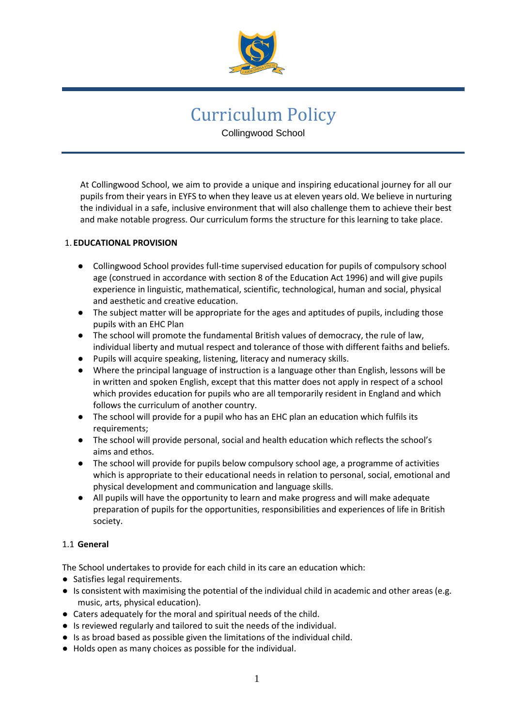

# Curriculum Policy

Collingwood School

At Collingwood School, we aim to provide a unique and inspiring educational journey for all our pupils from their years in EYFS to when they leave us at eleven years old. We believe in nurturing the individual in a safe, inclusive environment that will also challenge them to achieve their best and make notable progress. Our curriculum forms the structure for this learning to take place.

# 1. **EDUCATIONAL PROVISION**

- Collingwood School provides full-time supervised education for pupils of compulsory school age (construed in accordance with section 8 of the Education Act 1996) and will give pupils experience in linguistic, mathematical, scientific, technological, human and social, physical and aesthetic and creative education.
- The subject matter will be appropriate for the ages and aptitudes of pupils, including those pupils with an EHC Plan
- The school will promote the fundamental British values of democracy, the rule of law, individual liberty and mutual respect and tolerance of those with different faiths and beliefs.
- Pupils will acquire speaking, listening, literacy and numeracy skills.
- Where the principal language of instruction is a language other than English, lessons will be in written and spoken English, except that this matter does not apply in respect of a school which provides education for pupils who are all temporarily resident in England and which follows the curriculum of another country.
- The school will provide for a pupil who has an EHC plan an education which fulfils its requirements;
- The school will provide personal, social and health education which reflects the school's aims and ethos.
- The school will provide for pupils below compulsory school age, a programme of activities which is appropriate to their educational needs in relation to personal, social, emotional and physical development and communication and language skills.
- All pupils will have the opportunity to learn and make progress and will make adequate preparation of pupils for the opportunities, responsibilities and experiences of life in British society.

# 1.1 **General**

The School undertakes to provide for each child in its care an education which:

- Satisfies legal requirements.
- Is consistent with maximising the potential of the individual child in academic and other areas (e.g. music, arts, physical education).
- Caters adequately for the moral and spiritual needs of the child.
- Is reviewed regularly and tailored to suit the needs of the individual.
- Is as broad based as possible given the limitations of the individual child.
- Holds open as many choices as possible for the individual.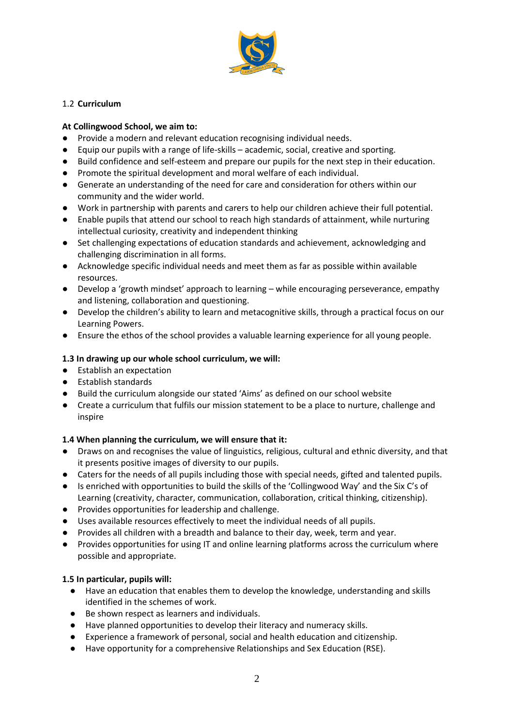

# 1.2 **Curriculum**

# **At Collingwood School, we aim to:**

- Provide a modern and relevant education recognising individual needs.
- Equip our pupils with a range of life-skills academic, social, creative and sporting.
- Build confidence and self-esteem and prepare our pupils for the next step in their education.
- Promote the spiritual development and moral welfare of each individual.
- Generate an understanding of the need for care and consideration for others within our community and the wider world.
- Work in partnership with parents and carers to help our children achieve their full potential.
- Enable pupils that attend our school to reach high standards of attainment, while nurturing intellectual curiosity, creativity and independent thinking
- Set challenging expectations of education standards and achievement, acknowledging and challenging discrimination in all forms.
- Acknowledge specific individual needs and meet them as far as possible within available resources.
- Develop a 'growth mindset' approach to learning while encouraging perseverance, empathy and listening, collaboration and questioning.
- Develop the children's ability to learn and metacognitive skills, through a practical focus on our Learning Powers.
- Ensure the ethos of the school provides a valuable learning experience for all young people.

## **1.3 In drawing up our whole school curriculum, we will:**

- Establish an expectation
- Establish standards
- Build the curriculum alongside our stated 'Aims' as defined on our school website
- Create a curriculum that fulfils our mission statement to be a place to nurture, challenge and inspire

#### **1.4 When planning the curriculum, we will ensure that it:**

- Draws on and recognises the value of linguistics, religious, cultural and ethnic diversity, and that it presents positive images of diversity to our pupils.
- Caters for the needs of all pupils including those with special needs, gifted and talented pupils.
- Is enriched with opportunities to build the skills of the 'Collingwood Way' and the Six C's of Learning (creativity, character, communication, collaboration, critical thinking, citizenship).
- Provides opportunities for leadership and challenge.
- Uses available resources effectively to meet the individual needs of all pupils.
- Provides all children with a breadth and balance to their day, week, term and year.
- Provides opportunities for using IT and online learning platforms across the curriculum where possible and appropriate.

#### **1.5 In particular, pupils will:**

- Have an education that enables them to develop the knowledge, understanding and skills identified in the schemes of work.
- Be shown respect as learners and individuals.
- Have planned opportunities to develop their literacy and numeracy skills.
- Experience a framework of personal, social and health education and citizenship.
- Have opportunity for a comprehensive Relationships and Sex Education (RSE).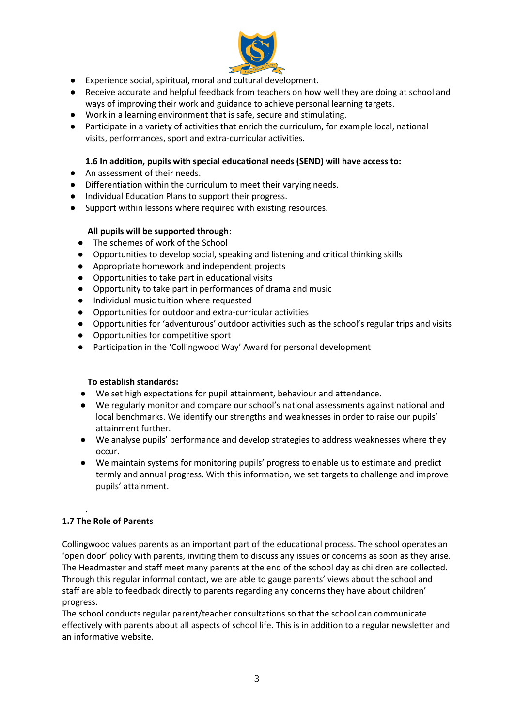

- Experience social, spiritual, moral and cultural development.
- Receive accurate and helpful feedback from teachers on how well they are doing at school and ways of improving their work and guidance to achieve personal learning targets.
- Work in a learning environment that is safe, secure and stimulating.
- Participate in a variety of activities that enrich the curriculum, for example local, national visits, performances, sport and extra-curricular activities.

## **1.6 In addition, pupils with special educational needs (SEND) will have access to:**

- An assessment of their needs.
- Differentiation within the curriculum to meet their varying needs.
- Individual Education Plans to support their progress.
- Support within lessons where required with existing resources.

## **All pupils will be supported through**:

- The schemes of work of the School
- Opportunities to develop social, speaking and listening and critical thinking skills
- Appropriate homework and independent projects
- Opportunities to take part in educational visits
- Opportunity to take part in performances of drama and music
- Individual music tuition where requested
- Opportunities for outdoor and extra-curricular activities
- Opportunities for 'adventurous' outdoor activities such as the school's regular trips and visits
- Opportunities for competitive sport
- Participation in the 'Collingwood Way' Award for personal development

#### **To establish standards:**

- We set high expectations for pupil attainment, behaviour and attendance.
- We regularly monitor and compare our school's national assessments against national and local benchmarks. We identify our strengths and weaknesses in order to raise our pupils' attainment further.
- We analyse pupils' performance and develop strategies to address weaknesses where they occur.
- We maintain systems for monitoring pupils' progress to enable us to estimate and predict termly and annual progress. With this information, we set targets to challenge and improve pupils' attainment.

# **1.7 The Role of Parents**

.

Collingwood values parents as an important part of the educational process. The school operates an 'open door' policy with parents, inviting them to discuss any issues or concerns as soon as they arise. The Headmaster and staff meet many parents at the end of the school day as children are collected. Through this regular informal contact, we are able to gauge parents' views about the school and staff are able to feedback directly to parents regarding any concerns they have about children' progress.

The school conducts regular parent/teacher consultations so that the school can communicate effectively with parents about all aspects of school life. This is in addition to a regular newsletter and an informative website.